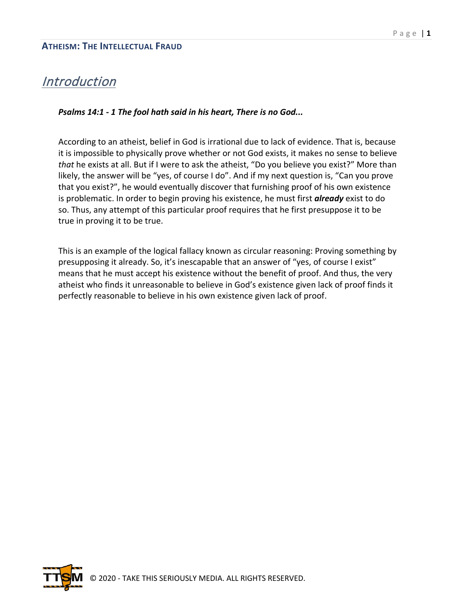### **Introduction**

#### *Psalms 14:1 - 1 The fool hath said in his heart, There is no God...*

According to an atheist, belief in God is irrational due to lack of evidence. That is, because it is impossible to physically prove whether or not God exists, it makes no sense to believe *that* he exists at all. But if I were to ask the atheist, "Do you believe you exist?" More than likely, the answer will be "yes, of course I do". And if my next question is, "Can you prove that you exist?", he would eventually discover that furnishing proof of his own existence is problematic. In order to begin proving his existence, he must first *already* exist to do so. Thus, any attempt of this particular proof requires that he first presuppose it to be true in proving it to be true.

This is an example of the logical fallacy known as circular reasoning: Proving something by presupposing it already. So, it's inescapable that an answer of "yes, of course I exist" means that he must accept his existence without the benefit of proof. And thus, the very atheist who finds it unreasonable to believe in God's existence given lack of proof finds it perfectly reasonable to believe in his own existence given lack of proof.

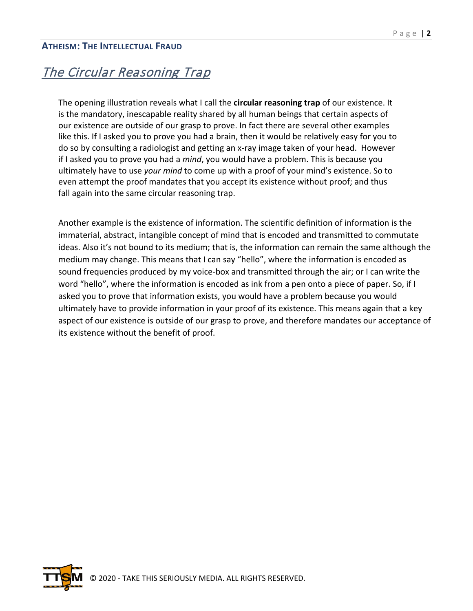# The Circular Reasoning Trap

The opening illustration reveals what I call the **circular reasoning trap** of our existence. It is the mandatory, inescapable reality shared by all human beings that certain aspects of our existence are outside of our grasp to prove. In fact there are several other examples like this. If I asked you to prove you had a brain, then it would be relatively easy for you to do so by consulting a radiologist and getting an x-ray image taken of your head. However if I asked you to prove you had a *mind*, you would have a problem. This is because you ultimately have to use *your mind* to come up with a proof of your mind's existence. So to even attempt the proof mandates that you accept its existence without proof; and thus fall again into the same circular reasoning trap.

Another example is the existence of information. The scientific definition of information is the immaterial, abstract, intangible concept of mind that is encoded and transmitted to commutate ideas. Also it's not bound to its medium; that is, the information can remain the same although the medium may change. This means that I can say "hello", where the information is encoded as sound frequencies produced by my voice-box and transmitted through the air; or I can write the word "hello", where the information is encoded as ink from a pen onto a piece of paper. So, if I asked you to prove that information exists, you would have a problem because you would ultimately have to provide information in your proof of its existence. This means again that a key aspect of our existence is outside of our grasp to prove, and therefore mandates our acceptance of its existence without the benefit of proof.

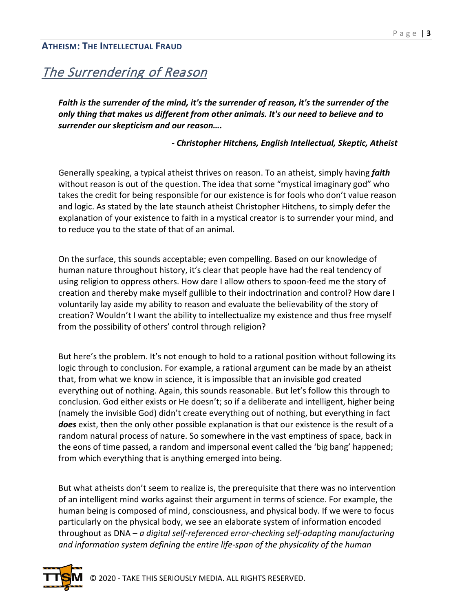## The Surrendering of Reason

*Faith is the surrender of the mind, it's the surrender of reason, it's the surrender of the only thing that makes us different from other animals. It's our need to believe and to surrender our skepticism and our reason….*

#### *- Christopher Hitchens, English Intellectual, Skeptic, Atheist*

Generally speaking, a typical atheist thrives on reason. To an atheist, simply having *faith* without reason is out of the question. The idea that some "mystical imaginary god" who takes the credit for being responsible for our existence is for fools who don't value reason and logic. As stated by the late staunch atheist Christopher Hitchens, to simply defer the explanation of your existence to faith in a mystical creator is to surrender your mind, and to reduce you to the state of that of an animal.

On the surface, this sounds acceptable; even compelling. Based on our knowledge of human nature throughout history, it's clear that people have had the real tendency of using religion to oppress others. How dare I allow others to spoon-feed me the story of creation and thereby make myself gullible to their indoctrination and control? How dare I voluntarily lay aside my ability to reason and evaluate the believability of the story of creation? Wouldn't I want the ability to intellectualize my existence and thus free myself from the possibility of others' control through religion?

But here's the problem. It's not enough to hold to a rational position without following its logic through to conclusion. For example, a rational argument can be made by an atheist that, from what we know in science, it is impossible that an invisible god created everything out of nothing. Again, this sounds reasonable. But let's follow this through to conclusion. God either exists or He doesn't; so if a deliberate and intelligent, higher being (namely the invisible God) didn't create everything out of nothing, but everything in fact *does* exist, then the only other possible explanation is that our existence is the result of a random natural process of nature. So somewhere in the vast emptiness of space, back in the eons of time passed, a random and impersonal event called the 'big bang' happened; from which everything that is anything emerged into being.

But what atheists don't seem to realize is, the prerequisite that there was no intervention of an intelligent mind works against their argument in terms of science. For example, the human being is composed of mind, consciousness, and physical body. If we were to focus particularly on the physical body, we see an elaborate system of information encoded throughout as DNA – *a digital self-referenced error-checking self-adapting manufacturing and information system defining the entire life-span of the physicality of the human* 

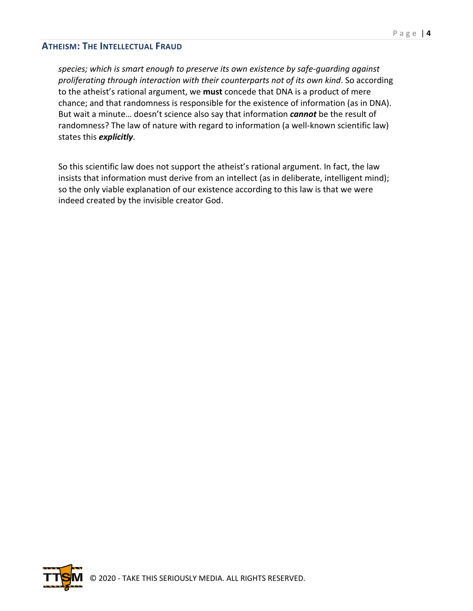*species; which is smart enough to preserve its own existence by safe-guarding against proliferating through interaction with their counterparts not of its own kind*. So according to the atheist's rational argument, we **must** concede that DNA is a product of mere chance; and that randomness is responsible for the existence of information (as in DNA). But wait a minute… doesn't science also say that information *cannot* be the result of randomness? The law of nature with regard to information (a well-known scientific law) states this *explicitly*.

So this scientific law does not support the atheist's rational argument. In fact, the law insists that information must derive from an intellect (as in deliberate, intelligent mind); so the only viable explanation of our existence according to this law is that we were indeed created by the invisible creator God.

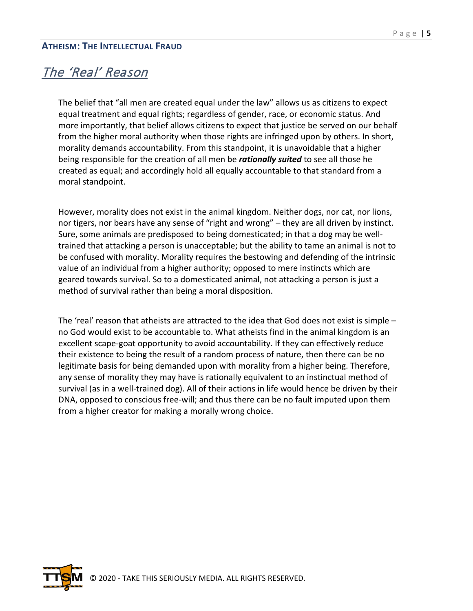### The 'Real' Reason

The belief that "all men are created equal under the law" allows us as citizens to expect equal treatment and equal rights; regardless of gender, race, or economic status. And more importantly, that belief allows citizens to expect that justice be served on our behalf from the higher moral authority when those rights are infringed upon by others. In short, morality demands accountability. From this standpoint, it is unavoidable that a higher being responsible for the creation of all men be *rationally suited* to see all those he created as equal; and accordingly hold all equally accountable to that standard from a moral standpoint.

However, morality does not exist in the animal kingdom. Neither dogs, nor cat, nor lions, nor tigers, nor bears have any sense of "right and wrong" – they are all driven by instinct. Sure, some animals are predisposed to being domesticated; in that a dog may be welltrained that attacking a person is unacceptable; but the ability to tame an animal is not to be confused with morality. Morality requires the bestowing and defending of the intrinsic value of an individual from a higher authority; opposed to mere instincts which are geared towards survival. So to a domesticated animal, not attacking a person is just a method of survival rather than being a moral disposition.

The 'real' reason that atheists are attracted to the idea that God does not exist is simple – no God would exist to be accountable to. What atheists find in the animal kingdom is an excellent scape-goat opportunity to avoid accountability. If they can effectively reduce their existence to being the result of a random process of nature, then there can be no legitimate basis for being demanded upon with morality from a higher being. Therefore, any sense of morality they may have is rationally equivalent to an instinctual method of survival (as in a well-trained dog). All of their actions in life would hence be driven by their DNA, opposed to conscious free-will; and thus there can be no fault imputed upon them from a higher creator for making a morally wrong choice.

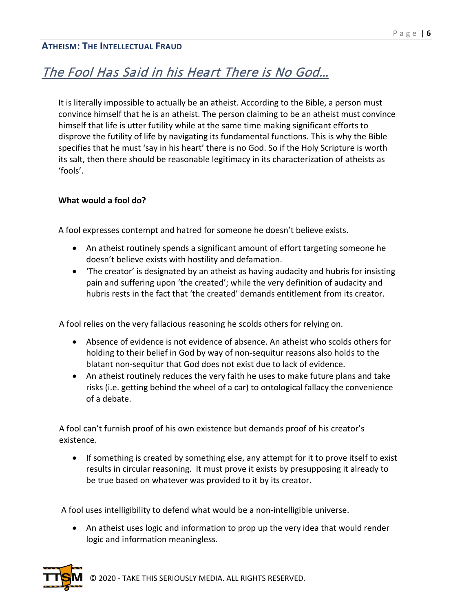## The Fool Has Said in his Heart There is No God…

It is literally impossible to actually be an atheist. According to the Bible, a person must convince himself that he is an atheist. The person claiming to be an atheist must convince himself that life is utter futility while at the same time making significant efforts to disprove the futility of life by navigating its fundamental functions. This is why the Bible specifies that he must 'say in his heart' there is no God. So if the Holy Scripture is worth its salt, then there should be reasonable legitimacy in its characterization of atheists as 'fools'.

#### **What would a fool do?**

A fool expresses contempt and hatred for someone he doesn't believe exists.

- An atheist routinely spends a significant amount of effort targeting someone he doesn't believe exists with hostility and defamation.
- 'The creator' is designated by an atheist as having audacity and hubris for insisting pain and suffering upon 'the created'; while the very definition of audacity and hubris rests in the fact that 'the created' demands entitlement from its creator.

A fool relies on the very fallacious reasoning he scolds others for relying on.

- Absence of evidence is not evidence of absence. An atheist who scolds others for holding to their belief in God by way of non-sequitur reasons also holds to the blatant non-sequitur that God does not exist due to lack of evidence.
- An atheist routinely reduces the very faith he uses to make future plans and take risks (i.e. getting behind the wheel of a car) to ontological fallacy the convenience of a debate.

A fool can't furnish proof of his own existence but demands proof of his creator's existence.

• If something is created by something else, any attempt for it to prove itself to exist results in circular reasoning. It must prove it exists by presupposing it already to be true based on whatever was provided to it by its creator.

A fool uses intelligibility to defend what would be a non-intelligible universe.

• An atheist uses logic and information to prop up the very idea that would render logic and information meaningless.